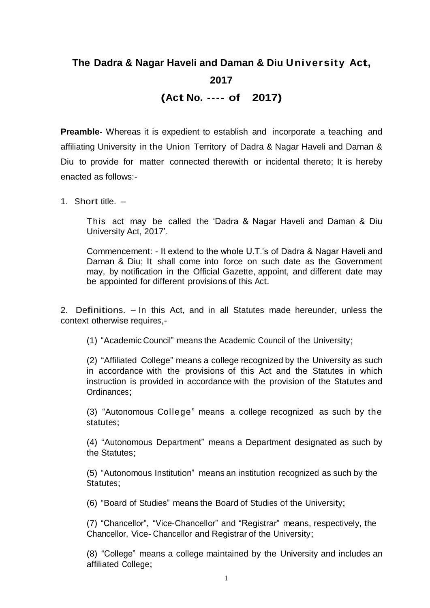# **The Dadra & Nagar Haveli and Daman & Diu University Act, 2017 (Act No. ---- of 2017)**

**Preamble-** Whereas it is expedient to establish and incorporate a teaching and affiliating University in the Union Territory of Dadra & Nagar Haveli and Daman & Diu to provide for matter connected therewith or incidental thereto; It is hereby enacted as follows:-

1. Short title. –

This act may be called the 'Dadra & Nagar Haveli and Daman & Diu University Act, 2017'.

Commencement: - It extend to the whole U.T.'s of Dadra & Nagar Haveli and Daman & Diu; It shall come into force on such date as the Government may, by notification in the Official Gazette, appoint, and different date may be appointed for different provisions of this Act.

2. Definitions. – In this Act, and in all Statutes made hereunder, unless the context otherwise requires,-

(1) "Academic Council" means the Academic Council of the University;

(2) "Affiliated College" means a college recognized by the University as such in accordance with the provisions of this Act and the Statutes in which instruction is provided in accordance with the provision of the Statutes and Ordinances;

(3) "Autonomous College" means a college recognized as such by the statutes;

(4) "Autonomous Department" means a Department designated as such by the Statutes;

(5) "Autonomous Institution" means an institution recognized as such by the Statutes;

(6) "Board of Studies" means the Board of Studies of the University;

(7) "Chancellor", "Vice-Chancellor" and "Registrar" means, respectively, the Chancellor, Vice- Chancellor and Registrar of the University;

(8) "College" means a college maintained by the University and includes an affiliated College;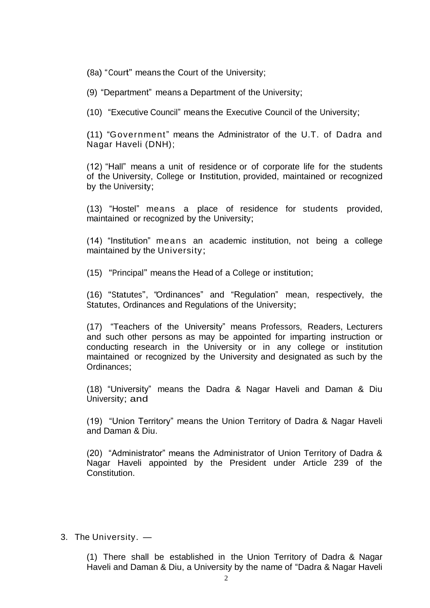(8a) "Court" means the Court of the University;

(9) "Department" means a Department of the University;

(10) "Executive Council" means the Executive Council of the University;

(11) "Government" means the Administrator of the U.T. of Dadra and Nagar Haveli (DNH);

(12) "Hall" means a unit of residence or of corporate life for the students of the University, College or Institution, provided, maintained or recognized by the University;

(13) "Hostel" means a place of residence for students provided, maintained or recognized by the University;

(14) "Institution" means an academic institution, not being a college maintained by the University;

(15) "Principal" means the Head of a College or institution;

(16) "Statutes", "Ordinances" and "Regulation" mean, respectively, the Statutes, Ordinances and Regulations of the University;

(17) "Teachers of the University" means Professors, Readers, Lecturers and such other persons as may be appointed for imparting instruction or conducting research in the University or in any college or institution maintained or recognized by the University and designated as such by the Ordinances;

(18) "University" means the Dadra & Nagar Haveli and Daman & Diu University; and

(19) "Union Territory" means the Union Territory of Dadra & Nagar Haveli and Daman & Diu.

(20) "Administrator" means the Administrator of Union Territory of Dadra & Nagar Haveli appointed by the President under Article 239 of the Constitution.

#### 3. The University. —

(1) There shall be established in the Union Territory of Dadra & Nagar Haveli and Daman & Diu, a University by the name of "Dadra & Nagar Haveli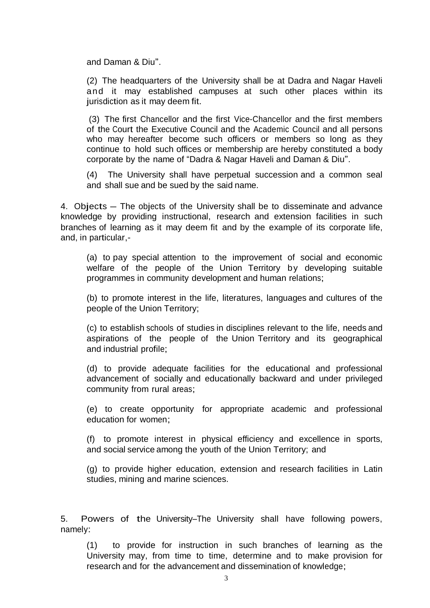and Daman & Diu".

(2) The headquarters of the University shall be at Dadra and Nagar Haveli and it may established campuses at such other places within its jurisdiction as it may deem fit.

(3) The first Chancellor and the first Vice-Chancellor and the first members of the Court the Executive Council and the Academic Council and all persons who may hereafter become such officers or members so long as they continue to hold such offices or membership are hereby constituted a body corporate by the name of "Dadra & Nagar Haveli and Daman & Diu".

(4) The University shall have perpetual succession and a common seal and shall sue and be sued by the said name.

4. Objects – The objects of the University shall be to disseminate and advance knowledge by providing instructional, research and extension facilities in such branches of learning as it may deem fit and by the example of its corporate life, and, in particular,-

(a) to pay special attention to the improvement of social and economic welfare of the people of the Union Territory by developing suitable programmes in community development and human relations;

(b) to promote interest in the life, literatures, languages and cultures of the people of the Union Territory;

(c) to establish schools of studies in disciplines relevant to the life, needs and aspirations of the people of the Union Territory and its geographical and industrial profile;

(d) to provide adequate facilities for the educational and professional advancement of socially and educationally backward and under privileged community from rural areas;

(e) to create opportunity for appropriate academic and professional education for women;

(f) to promote interest in physical efficiency and excellence in sports, and social service among the youth of the Union Territory; and

(g) to provide higher education, extension and research facilities in Latin studies, mining and marine sciences.

5. Powers of the University–The University shall have following powers, namely:

(1) to provide for instruction in such branches of learning as the University may, from time to time, determine and to make provision for research and for the advancement and dissemination of knowledge;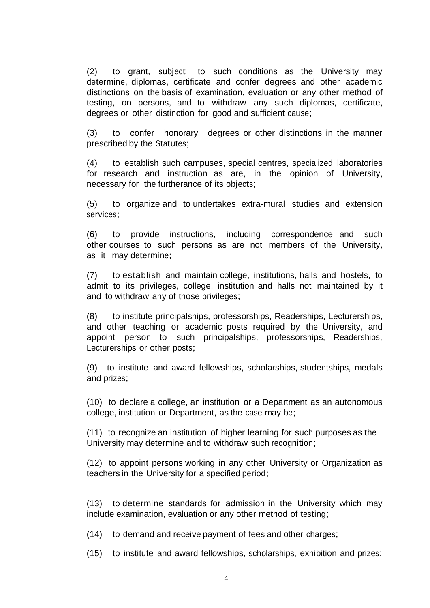(2) to grant, subject to such conditions as the University may determine, diplomas, certificate and confer degrees and other academic distinctions on the basis of examination, evaluation or any other method of testing, on persons, and to withdraw any such diplomas, certificate, degrees or other distinction for good and sufficient cause;

(3) to confer honorary degrees or other distinctions in the manner prescribed by the Statutes;

(4) to establish such campuses, special centres, specialized laboratories for research and instruction as are, in the opinion of University, necessary for the furtherance of its objects;

(5) to organize and to undertakes extra-mural studies and extension services;

(6) to provide instructions, including correspondence and such other courses to such persons as are not members of the University, as it may determine;

(7) to establish and maintain college, institutions, halls and hostels, to admit to its privileges, college, institution and halls not maintained by it and to withdraw any of those privileges;

(8) to institute principalships, professorships, Readerships, Lecturerships, and other teaching or academic posts required by the University, and appoint person to such principalships, professorships, Readerships, Lecturerships or other posts;

(9) to institute and award fellowships, scholarships, studentships, medals and prizes;

(10) to declare a college, an institution or a Department as an autonomous college, institution or Department, as the case may be;

(11) to recognize an institution of higher learning for such purposes as the University may determine and to withdraw such recognition;

(12) to appoint persons working in any other University or Organization as teachers in the University for a specified period;

(13) to determine standards for admission in the University which may include examination, evaluation or any other method of testing;

(14) to demand and receive payment of fees and other charges;

(15) to institute and award fellowships, scholarships, exhibition and prizes;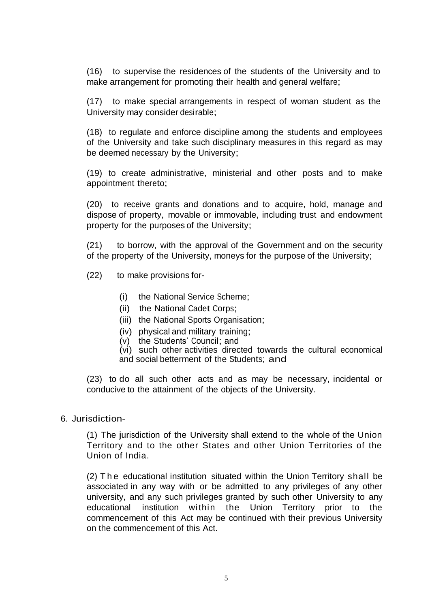(16) to supervise the residences of the students of the University and to make arrangement for promoting their health and general welfare;

(17) to make special arrangements in respect of woman student as the University may consider desirable;

(18) to regulate and enforce discipline among the students and employees of the University and take such disciplinary measures in this regard as may be deemed necessary by the University;

(19) to create administrative, ministerial and other posts and to make appointment thereto;

(20) to receive grants and donations and to acquire, hold, manage and dispose of property, movable or immovable, including trust and endowment property for the purposes of the University;

(21) to borrow, with the approval of the Government and on the security of the property of the University, moneys for the purpose of the University;

- (22) to make provisions for-
	- (i) the National Service Scheme;
	- (ii) the National Cadet Corps;
	- (iii) the National Sports Organisation;
	- (iv) physical and military training;
	- (v) the Students' Council; and
	- (vi) such other activities directed towards the cultural economical and social betterment of the Students; and

(23) to do all such other acts and as may be necessary, incidental or conducive to the attainment of the objects of the University.

## 6. Jurisdiction-

(1) The jurisdiction of the University shall extend to the whole of the Union Territory and to the other States and other Union Territories of the Union of India.

(2) T h e educational institution situated within the Union Territory shall be associated in any way with or be admitted to any privileges of any other university, and any such privileges granted by such other University to any educational institution within the Union Territory prior to the commencement of this Act may be continued with their previous University on the commencement of this Act.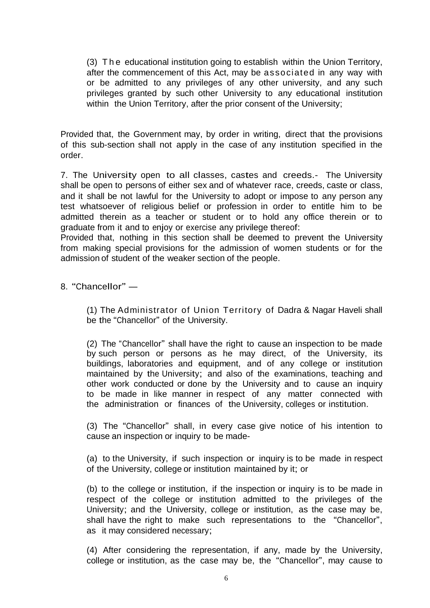(3) T h e educational institution going to establish within the Union Territory, after the commencement of this Act, may be associated in any way with or be admitted to any privileges of any other university, and any such privileges granted by such other University to any educational institution within the Union Territory, after the prior consent of the University;

Provided that, the Government may, by order in writing, direct that the provisions of this sub-section shall not apply in the case of any institution specified in the order.

7. The University open to all classes, castes and creeds.- The University shall be open to persons of either sex and of whatever race, creeds, caste or class, and it shall be not lawful for the University to adopt or impose to any person any test whatsoever of religious belief or profession in order to entitle him to be admitted therein as a teacher or student or to hold any office therein or to graduate from it and to enjoy or exercise any privilege thereof:

Provided that, nothing in this section shall be deemed to prevent the University from making special provisions for the admission of women students or for the admission of student of the weaker section of the people.

8. "Chancellor" —

(1) The Administrator of Union Territory of Dadra & Nagar Haveli shall be the "Chancellor" of the University.

(2) The "Chancellor" shall have the right to cause an inspection to be made by such person or persons as he may direct, of the University, its buildings, laboratories and equipment, and of any college or institution maintained by the University; and also of the examinations, teaching and other work conducted or done by the University and to cause an inquiry to be made in like manner in respect of any matter connected with the administration or finances of the University, colleges or institution.

(3) The "Chancellor" shall, in every case give notice of his intention to cause an inspection or inquiry to be made-

(a) to the University, if such inspection or inquiry is to be made in respect of the University, college or institution maintained by it; or

(b) to the college or institution, if the inspection or inquiry is to be made in respect of the college or institution admitted to the privileges of the University; and the University, college or institution, as the case may be, shall have the right to make such representations to the "Chancellor", as it may considered necessary;

(4) After considering the representation, if any, made by the University, college or institution, as the case may be, the "Chancellor", may cause to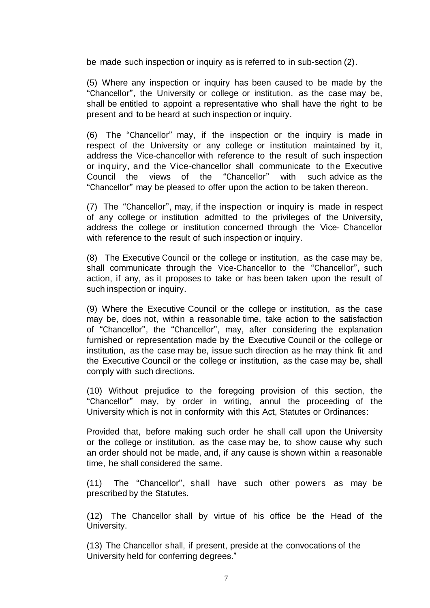be made such inspection or inquiry as is referred to in sub-section (2).

(5) Where any inspection or inquiry has been caused to be made by the "Chancellor", the University or college or institution, as the case may be, shall be entitled to appoint a representative who shall have the right to be present and to be heard at such inspection or inquiry.

(6) The "Chancellor" may, if the inspection or the inquiry is made in respect of the University or any college or institution maintained by it, address the Vice-chancellor with reference to the result of such inspection or inquiry, and the Vice-chancellor shall communicate to the Executive Council the views of the "Chancellor" with such advice as the "Chancellor" may be pleased to offer upon the action to be taken thereon.

(7) The "Chancellor", may, if the inspection or inquiry is made in respect of any college or institution admitted to the privileges of the University, address the college or institution concerned through the Vice- Chancellor with reference to the result of such inspection or inquiry.

(8) The Executive Council or the college or institution, as the case may be, shall communicate through the Vice-Chancellor to the "Chancellor", such action, if any, as it proposes to take or has been taken upon the result of such inspection or inquiry.

(9) Where the Executive Council or the college or institution, as the case may be, does not, within a reasonable time, take action to the satisfaction of "Chancellor", the "Chancellor", may, after considering the explanation furnished or representation made by the Executive Council or the college or institution, as the case may be, issue such direction as he may think fit and the Executive Council or the college or institution, as the case may be, shall comply with such directions.

(10) Without prejudice to the foregoing provision of this section, the "Chancellor" may, by order in writing, annul the proceeding of the University which is not in conformity with this Act, Statutes or Ordinances:

Provided that, before making such order he shall call upon the University or the college or institution, as the case may be, to show cause why such an order should not be made, and, if any cause is shown within a reasonable time, he shall considered the same.

(11) The "Chancellor", shall have such other powers as may be prescribed by the Statutes.

(12) The Chancellor shall by virtue of his office be the Head of the University.

(13) The Chancellor shall, if present, preside at the convocations of the University held for conferring degrees."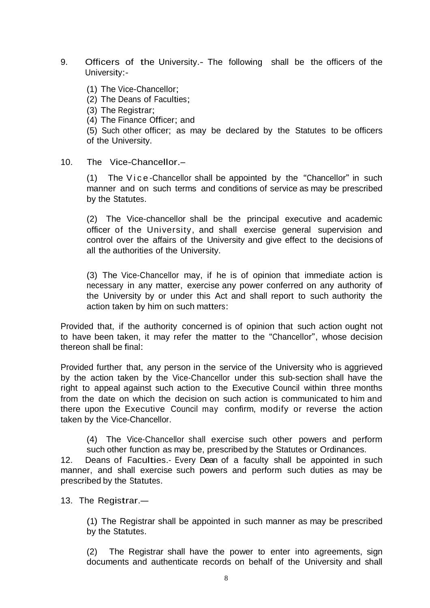- 9. Officers of the University.- The following shall be the officers of the University:-
	- (1) The Vice-Chancellor;
	- (2) The Deans of Faculties;
	- (3) The Registrar;
	- (4) The Finance Officer; and

(5) Such other officer; as may be declared by the Statutes to be officers of the University.

## 10. The Vice-Chancellor.–

(1) The Vice-Chancellor shall be appointed by the "Chancellor" in such manner and on such terms and conditions of service as may be prescribed by the Statutes.

(2) The Vice-chancellor shall be the principal executive and academic officer of the University, and shall exercise general supervision and control over the affairs of the University and give effect to the decisions of all the authorities of the University.

(3) The Vice-Chancellor may, if he is of opinion that immediate action is necessary in any matter, exercise any power conferred on any authority of the University by or under this Act and shall report to such authority the action taken by him on such matters:

Provided that, if the authority concerned is of opinion that such action ought not to have been taken, it may refer the matter to the "Chancellor", whose decision thereon shall be final:

Provided further that, any person in the service of the University who is aggrieved by the action taken by the Vice-Chancellor under this sub-section shall have the right to appeal against such action to the Executive Council within three months from the date on which the decision on such action is communicated to him and there upon the Executive Council may confirm, modify or reverse the action taken by the Vice-Chancellor.

(4) The Vice-Chancellor shall exercise such other powers and perform such other function as may be, prescribed by the Statutes or Ordinances.

12. Deans of Faculties.- Every Dean of <sup>a</sup> faculty shall be appointed in such manner, and shall exercise such powers and perform such duties as may be prescribed by the Statutes.

13. The Registrar.—

(1) The Registrar shall be appointed in such manner as may be prescribed by the Statutes.

(2) The Registrar shall have the power to enter into agreements, sign documents and authenticate records on behalf of the University and shall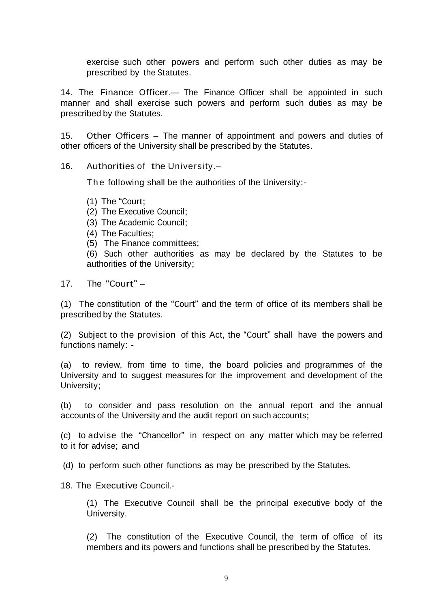exercise such other powers and perform such other duties as may be prescribed by the Statutes.

14. The Finance Officer.— The Finance Officer shall be appointed in such manner and shall exercise such powers and perform such duties as may be prescribed by the Statutes.

15. Other Officers – The manner of appointment and powers and duties of other officers of the University shall be prescribed by the Statutes.

16. Authorities of the University.–

The following shall be the authorities of the University:-

- (1) The "Court;
- (2) The Executive Council;
- (3) The Academic Council;
- (4) The Faculties;
- (5) The Finance committees;

(6) Such other authorities as may be declared by the Statutes to be authorities of the University;

17. The "Court" –

(1) The constitution of the "Court" and the term of office of its members shall be prescribed by the Statutes.

(2) Subject to the provision of this Act, the "Court" shall have the powers and functions namely: -

(a) to review, from time to time, the board policies and programmes of the University and to suggest measures for the improvement and development of the University;

(b) to consider and pass resolution on the annual report and the annual accounts of the University and the audit report on such accounts;

(c) to advise the "Chancellor" in respect on any matter which may be referred to it for advise; and

(d) to perform such other functions as may be prescribed by the Statutes.

18. The Executive Council.-

(1) The Executive Council shall be the principal executive body of the University.

(2) The constitution of the Executive Council, the term of office of its members and its powers and functions shall be prescribed by the Statutes.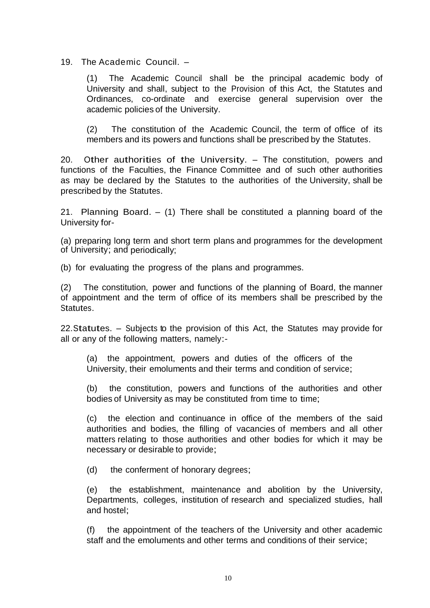19. The Academic Council. –

(1) The Academic Council shall be the principal academic body of University and shall, subject to the Provision of this Act, the Statutes and Ordinances, co-ordinate and exercise general supervision over the academic policies of the University.

(2) The constitution of the Academic Council, the term of office of its members and its powers and functions shall be prescribed by the Statutes.

20. Other authorities of the University. – The constitution, powers and functions of the Faculties, the Finance Committee and of such other authorities as may be declared by the Statutes to the authorities of the University, shall be prescribed by the Statutes.

21. Planning Board. – (1) There shall be constituted a planning board of the University for-

(a) preparing long term and short term plans and programmes for the development of University; and periodically;

(b) for evaluating the progress of the plans and programmes.

(2) The constitution, power and functions of the planning of Board, the manner of appointment and the term of office of its members shall be prescribed by the Statutes.

22.Statutes. – Subjects to the provision of this Act, the Statutes may provide for all or any of the following matters, namely:-

(a) the appointment, powers and duties of the officers of the University, their emoluments and their terms and condition of service;

(b) the constitution, powers and functions of the authorities and other bodies of University as may be constituted from time to time;

(c) the election and continuance in office of the members of the said authorities and bodies, the filling of vacancies of members and all other matters relating to those authorities and other bodies for which it may be necessary or desirable to provide;

(d) the conferment of honorary degrees;

(e) the establishment, maintenance and abolition by the University, Departments, colleges, institution of research and specialized studies, hall and hostel;

(f) the appointment of the teachers of the University and other academic staff and the emoluments and other terms and conditions of their service;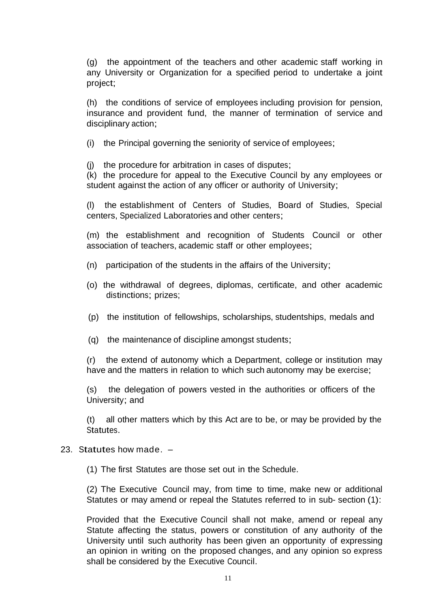(g) the appointment of the teachers and other academic staff working in any University or Organization for a specified period to undertake a joint project;

(h) the conditions of service of employees including provision for pension, insurance and provident fund, the manner of termination of service and disciplinary action;

(i) the Principal governing the seniority of service of employees;

(j) the procedure for arbitration in cases of disputes;

(k) the procedure for appeal to the Executive Council by any employees or student against the action of any officer or authority of University;

(l) the establishment of Centers of Studies, Board of Studies, Special centers, Specialized Laboratories and other centers;

(m) the establishment and recognition of Students Council or other association of teachers, academic staff or other employees;

- (n) participation of the students in the affairs of the University;
- (o) the withdrawal of degrees, diplomas, certificate, and other academic distinctions; prizes;
- (p) the institution of fellowships, scholarships, studentships, medals and
- (q) the maintenance of discipline amongst students;

(r) the extend of autonomy which a Department, college or institution may have and the matters in relation to which such autonomy may be exercise;

(s) the delegation of powers vested in the authorities or officers of the University; and

(t) all other matters which by this Act are to be, or may be provided by the Statutes.

#### 23. Statutes how made. –

(1) The first Statutes are those set out in the Schedule.

(2) The Executive Council may, from time to time, make new or additional Statutes or may amend or repeal the Statutes referred to in sub- section (1):

Provided that the Executive Council shall not make, amend or repeal any Statute affecting the status, powers or constitution of any authority of the University until such authority has been given an opportunity of expressing an opinion in writing on the proposed changes, and any opinion so express shall be considered by the Executive Council.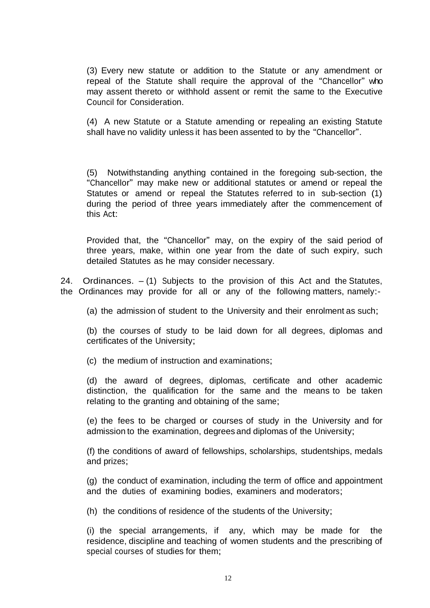(3) Every new statute or addition to the Statute or any amendment or repeal of the Statute shall require the approval of the "Chancellor" who may assent thereto or withhold assent or remit the same to the Executive Council for Consideration.

(4) A new Statute or a Statute amending or repealing an existing Statute shall have no validity unless it has been assented to by the "Chancellor".

(5) Notwithstanding anything contained in the foregoing sub-section, the "Chancellor" may make new or additional statutes or amend or repeal the Statutes or amend or repeal the Statutes referred to in sub-section (1) during the period of three years immediately after the commencement of this Act:

Provided that, the "Chancellor" may, on the expiry of the said period of three years, make, within one year from the date of such expiry, such detailed Statutes as he may consider necessary.

24. Ordinances.  $-$  (1) Subjects to the provision of this Act and the Statutes, the Ordinances may provide for all or any of the following matters, namely:-

(a) the admission of student to the University and their enrolment as such;

(b) the courses of study to be laid down for all degrees, diplomas and certificates of the University;

(c) the medium of instruction and examinations;

(d) the award of degrees, diplomas, certificate and other academic distinction, the qualification for the same and the means to be taken relating to the granting and obtaining of the same;

(e) the fees to be charged or courses of study in the University and for admission to the examination, degrees and diplomas of the University;

(f) the conditions of award of fellowships, scholarships, studentships, medals and prizes;

(g) the conduct of examination, including the term of office and appointment and the duties of examining bodies, examiners and moderators;

(h) the conditions of residence of the students of the University;

(i) the special arrangements, if any, which may be made for the residence, discipline and teaching of women students and the prescribing of special courses of studies for them;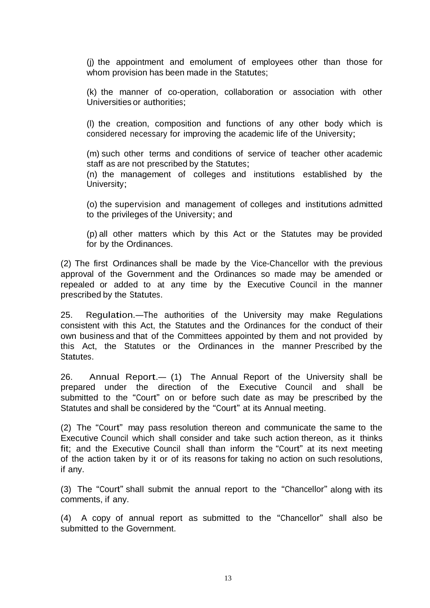(j) the appointment and emolument of employees other than those for whom provision has been made in the Statutes;

(k) the manner of co-operation, collaboration or association with other Universities or authorities;

(l) the creation, composition and functions of any other body which is considered necessary for improving the academic life of the University;

(m) such other terms and conditions of service of teacher other academic staff as are not prescribed by the Statutes;

(n) the management of colleges and institutions established by the University;

(o) the supervision and management of colleges and institutions admitted to the privileges of the University; and

(p) all other matters which by this Act or the Statutes may be provided for by the Ordinances.

(2) The first Ordinances shall be made by the Vice-Chancellor with the previous approval of the Government and the Ordinances so made may be amended or repealed or added to at any time by the Executive Council in the manner prescribed by the Statutes.

25. Regulation.—The authorities of the University may make Regulations consistent with this Act, the Statutes and the Ordinances for the conduct of their own business and that of the Committees appointed by them and not provided by this Act, the Statutes or the Ordinances in the manner Prescribed by the **Statutes** 

26. Annual Report.— (1) The Annual Report of the University shall be prepared under the direction of the Executive Council and shall be submitted to the "Court" on or before such date as may be prescribed by the Statutes and shall be considered by the "Court" at its Annual meeting.

(2) The "Court" may pass resolution thereon and communicate the same to the Executive Council which shall consider and take such action thereon, as it thinks fit; and the Executive Council shall than inform the "Court" at its next meeting of the action taken by it or of its reasons for taking no action on such resolutions, if any.

(3) The "Court" shall submit the annual report to the "Chancellor" along with its comments, if any.

(4) A copy of annual report as submitted to the "Chancellor" shall also be submitted to the Government.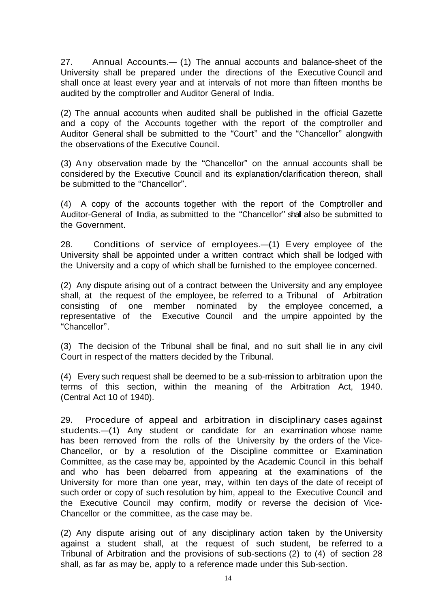27. Annual Accounts.— (1) The annual accounts and balance-sheet of the University shall be prepared under the directions of the Executive Council and shall once at least every year and at intervals of not more than fifteen months be audited by the comptroller and Auditor General of India.

(2) The annual accounts when audited shall be published in the official Gazette and a copy of the Accounts together with the report of the comptroller and Auditor General shall be submitted to the "Court" and the "Chancellor" alongwith the observations of the Executive Council.

(3) Any observation made by the "Chancellor" on the annual accounts shall be considered by the Executive Council and its explanation/clarification thereon, shall be submitted to the "Chancellor".

(4) A copy of the accounts together with the report of the Comptroller and Auditor-General of India, as submitted to the "Chancellor" shall also be submitted to the Government.

28. Conditions of service of employees.—(1) Every employee of the University shall be appointed under a written contract which shall be lodged with the University and a copy of which shall be furnished to the employee concerned.

(2) Any dispute arising out of a contract between the University and any employee shall, at the request of the employee, be referred to a Tribunal of Arbitration consisting of one member nominated by the employee concerned, a representative of the Executive Council and the umpire appointed by the "Chancellor".

(3) The decision of the Tribunal shall be final, and no suit shall lie in any civil Court in respect of the matters decided by the Tribunal.

(4) Every such request shall be deemed to be a sub-mission to arbitration upon the terms of this section, within the meaning of the Arbitration Act, 1940. (Central Act 10 of 1940).

29. Procedure of appeal and arbitration in disciplinary cases against students.—(1) Any student or candidate for an examination whose name has been removed from the rolls of the University by the orders of the Vice-Chancellor, or by a resolution of the Discipline committee or Examination Committee, as the case may be, appointed by the Academic Council in this behalf and who has been debarred from appearing at the examinations of the University for more than one year, may, within ten days of the date of receipt of such order or copy of such resolution by him, appeal to the Executive Council and the Executive Council may confirm, modify or reverse the decision of Vice-Chancellor or the committee, as the case may be.

(2) Any dispute arising out of any disciplinary action taken by the University against a student shall, at the request of such student, be referred to a Tribunal of Arbitration and the provisions of sub-sections (2) to (4) of section 28 shall, as far as may be, apply to a reference made under this Sub-section.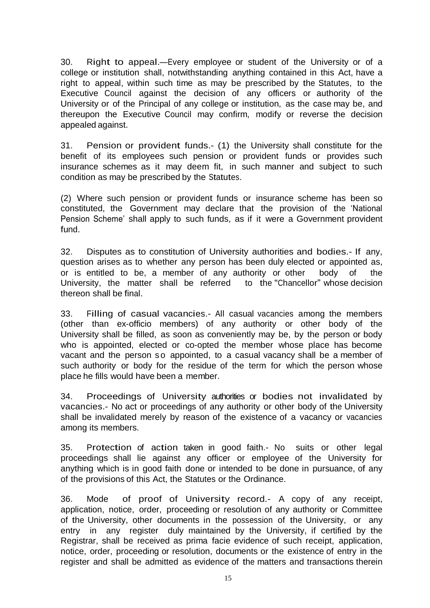30. Right to appeal.—Every employee or student of the University or of <sup>a</sup> college or institution shall, notwithstanding anything contained in this Act, have a right to appeal, within such time as may be prescribed by the Statutes, to the Executive Council against the decision of any officers or authority of the University or of the Principal of any college or institution, as the case may be, and thereupon the Executive Council may confirm, modify or reverse the decision appealed against.

31. Pension or provident funds.- (1) the University shall constitute for the benefit of its employees such pension or provident funds or provides such insurance schemes as it may deem fit, in such manner and subject to such condition as may be prescribed by the Statutes.

(2) Where such pension or provident funds or insurance scheme has been so constituted, the Government may declare that the provision of the 'National Pension Scheme' shall apply to such funds, as if it were a Government provident fund.

32. Disputes as to constitution of University authorities and bodies.- If any, question arises as to whether any person has been duly elected or appointed as, or is entitled to be, a member of any authority or other body of the University, the matter shall be referred to the "Chancellor" whose decision thereon shall be final.

33. Filling of casual vacancies.- All casual vacancies among the members (other than ex-officio members) of any authority or other body of the University shall be filled, as soon as conveniently may be, by the person or body who is appointed, elected or co-opted the member whose place has become vacant and the person so appointed, to a casual vacancy shall be a member of such authority or body for the residue of the term for which the person whose place he fills would have been a member.

34. Proceedings of University authorities or bodies not invalidated by vacancies.- No act or proceedings of any authority or other body of the University shall be invalidated merely by reason of the existence of a vacancy or vacancies among its members.

35. Protection of action taken in good faith.- No suits or other legal proceedings shall lie against any officer or employee of the University for anything which is in good faith done or intended to be done in pursuance, of any of the provisions of this Act, the Statutes or the Ordinance.

36. Mode of proof of University record.- <sup>A</sup> copy of any receipt, application, notice, order, proceeding or resolution of any authority or Committee of the University, other documents in the possession of the University, or any entry in any register duly maintained by the University, if certified by the Registrar, shall be received as prima facie evidence of such receipt, application, notice, order, proceeding or resolution, documents or the existence of entry in the register and shall be admitted as evidence of the matters and transactions therein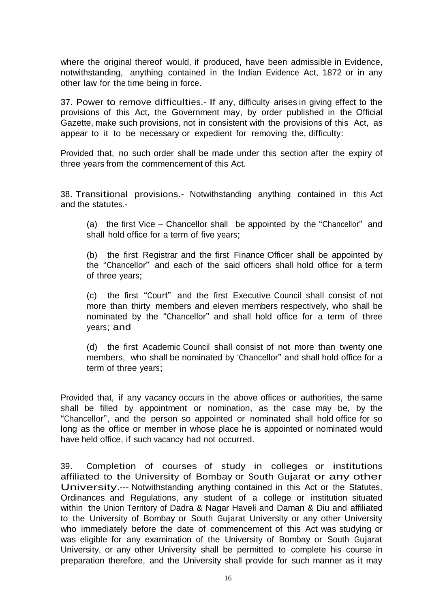where the original thereof would, if produced, have been admissible in Evidence, notwithstanding, anything contained in the Indian Evidence Act, 1872 or in any other law for the time being in force.

37. Power to remove difficulties.- If any, difficulty arises in giving effect to the provisions of this Act, the Government may, by order published in the Official Gazette, make such provisions, not in consistent with the provisions of this Act, as appear to it to be necessary or expedient for removing the, difficulty:

Provided that, no such order shall be made under this section after the expiry of three years from the commencement of this Act.

38. Transitional provisions.- Notwithstanding anything contained in this Act and the statutes.-

(a) the first Vice – Chancellor shall be appointed by the "Chancellor" and shall hold office for a term of five years;

(b) the first Registrar and the first Finance Officer shall be appointed by the "Chancellor" and each of the said officers shall hold office for a term of three years;

(c) the first "Court" and the first Executive Council shall consist of not more than thirty members and eleven members respectively, who shall be nominated by the "Chancellor" and shall hold office for a term of three years; and

(d) the first Academic Council shall consist of not more than twenty one members, who shall be nominated by 'Chancellor" and shall hold office for a term of three years;

Provided that, if any vacancy occurs in the above offices or authorities, the same shall be filled by appointment or nomination, as the case may be, by the "Chancellor", and the person so appointed or nominated shall hold office for so long as the office or member in whose place he is appointed or nominated would have held office, if such vacancy had not occurred.

39. Completion of courses of study in colleges or institutions affiliated to the University of Bombay or South Gujarat or any other University.--- Notwithstanding anything contained in this Act or the Statutes, Ordinances and Regulations, any student of a college or institution situated within the Union Territory of Dadra & Nagar Haveli and Daman & Diu and affiliated to the University of Bombay or South Gujarat University or any other University who immediately before the date of commencement of this Act was studying or was eligible for any examination of the University of Bombay or South Gujarat University, or any other University shall be permitted to complete his course in preparation therefore, and the University shall provide for such manner as it may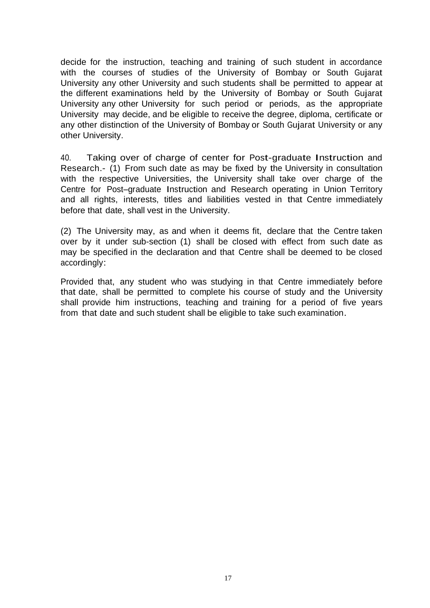decide for the instruction, teaching and training of such student in accordance with the courses of studies of the University of Bombay or South Gujarat University any other University and such students shall be permitted to appear at the different examinations held by the University of Bombay or South Gujarat University any other University for such period or periods, as the appropriate University may decide, and be eligible to receive the degree, diploma, certificate or any other distinction of the University of Bombay or South Gujarat University or any other University.

40. Taking over of charge of center for Post-graduate Instruction and Research.- (1) From such date as may be fixed by the University in consultation with the respective Universities, the University shall take over charge of the Centre for Post–graduate Instruction and Research operating in Union Territory and all rights, interests, titles and liabilities vested in that Centre immediately before that date, shall vest in the University.

(2) The University may, as and when it deems fit, declare that the Centre taken over by it under sub-section (1) shall be closed with effect from such date as may be specified in the declaration and that Centre shall be deemed to be closed accordingly:

Provided that, any student who was studying in that Centre immediately before that date, shall be permitted to complete his course of study and the University shall provide him instructions, teaching and training for a period of five years from that date and such student shall be eligible to take such examination.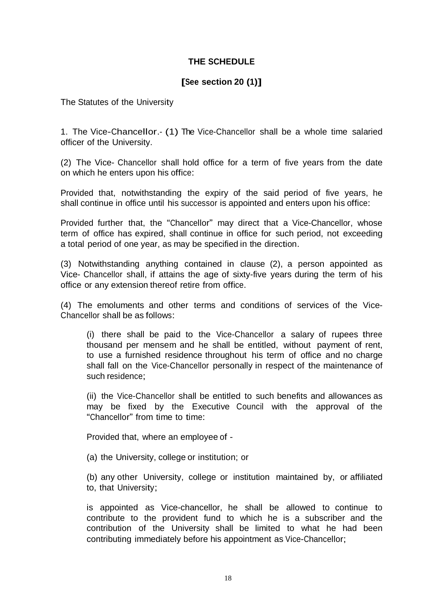# **THE SCHEDULE**

# **[See section 20 (1)]**

The Statutes of the University

1. The Vice-Chancellor.- (1) The Vice-Chancellor shall be a whole time salaried officer of the University.

(2) The Vice- Chancellor shall hold office for a term of five years from the date on which he enters upon his office:

Provided that, notwithstanding the expiry of the said period of five years, he shall continue in office until his successor is appointed and enters upon his office:

Provided further that, the "Chancellor" may direct that a Vice-Chancellor, whose term of office has expired, shall continue in office for such period, not exceeding a total period of one year, as may be specified in the direction.

(3) Notwithstanding anything contained in clause (2), a person appointed as Vice- Chancellor shall, if attains the age of sixty-five years during the term of his office or any extension thereof retire from office.

(4) The emoluments and other terms and conditions of services of the Vice-Chancellor shall be as follows:

(i) there shall be paid to the Vice-Chancellor a salary of rupees three thousand per mensem and he shall be entitled, without payment of rent, to use a furnished residence throughout his term of office and no charge shall fall on the Vice-Chancellor personally in respect of the maintenance of such residence;

(ii) the Vice-Chancellor shall be entitled to such benefits and allowances as may be fixed by the Executive Council with the approval of the "Chancellor" from time to time:

Provided that, where an employee of -

(a) the University, college or institution; or

(b) any other University, college or institution maintained by, or affiliated to, that University;

is appointed as Vice-chancellor, he shall be allowed to continue to contribute to the provident fund to which he is a subscriber and the contribution of the University shall be limited to what he had been contributing immediately before his appointment as Vice-Chancellor;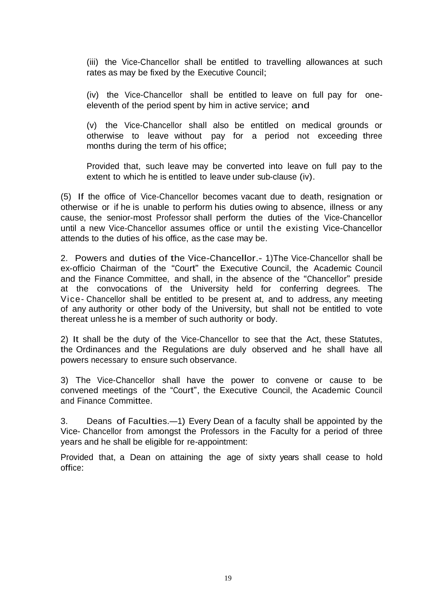(iii) the Vice-Chancellor shall be entitled to travelling allowances at such rates as may be fixed by the Executive Council;

(iv) the Vice-Chancellor shall be entitled to leave on full pay for oneeleventh of the period spent by him in active service; and

(v) the Vice-Chancellor shall also be entitled on medical grounds or otherwise to leave without pay for a period not exceeding three months during the term of his office;

Provided that, such leave may be converted into leave on full pay to the extent to which he is entitled to leave under sub-clause (iv).

(5) If the office of Vice-Chancellor becomes vacant due to death, resignation or otherwise or if he is unable to perform his duties owing to absence, illness or any cause, the senior-most Professor shall perform the duties of the Vice-Chancellor until a new Vice-Chancellor assumes office or until the existing Vice-Chancellor attends to the duties of his office, as the case may be.

2. Powers and duties of the Vice-Chancellor.- 1)The Vice-Chancellor shall be ex-officio Chairman of the "Court" the Executive Council, the Academic Council and the Finance Committee, and shall, in the absence of the "Chancellor" preside at the convocations of the University held for conferring degrees. The Vice- Chancellor shall be entitled to be present at, and to address, any meeting of any authority or other body of the University, but shall not be entitled to vote thereat unless he is a member of such authority or body.

2) It shall be the duty of the Vice-Chancellor to see that the Act, these Statutes, the Ordinances and the Regulations are duly observed and he shall have all powers necessary to ensure such observance.

3) The Vice-Chancellor shall have the power to convene or cause to be convened meetings of the "Court", the Executive Council, the Academic Council and Finance Committee.

3. Deans of Faculties.—1) Every Dean of <sup>a</sup> faculty shall be appointed by the Vice- Chancellor from amongst the Professors in the Faculty for a period of three years and he shall be eligible for re-appointment:

Provided that, a Dean on attaining the age of sixty years shall cease to hold office: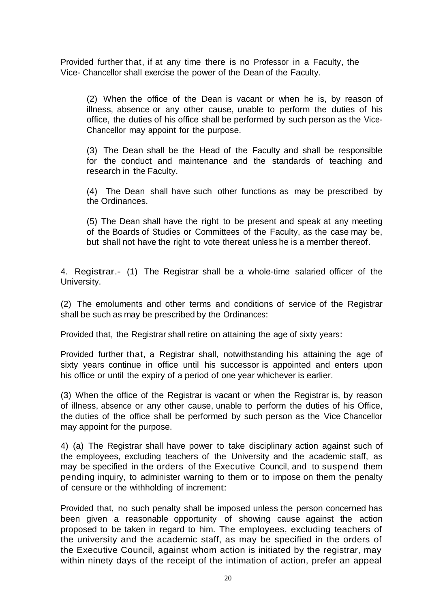Provided further that, if at any time there is no Professor in a Faculty, the Vice- Chancellor shall exercise the power of the Dean of the Faculty.

(2) When the office of the Dean is vacant or when he is, by reason of illness, absence or any other cause, unable to perform the duties of his office, the duties of his office shall be performed by such person as the Vice-Chancellor may appoint for the purpose.

(3) The Dean shall be the Head of the Faculty and shall be responsible for the conduct and maintenance and the standards of teaching and research in the Faculty.

(4) The Dean shall have such other functions as may be prescribed by the Ordinances.

(5) The Dean shall have the right to be present and speak at any meeting of the Boards of Studies or Committees of the Faculty, as the case may be, but shall not have the right to vote thereat unless he is a member thereof.

4. Registrar.- (1) The Registrar shall be <sup>a</sup> whole-time salaried officer of the University.

(2) The emoluments and other terms and conditions of service of the Registrar shall be such as may be prescribed by the Ordinances:

Provided that, the Registrar shall retire on attaining the age of sixty years:

Provided further that, a Registrar shall, notwithstanding his attaining the age of sixty years continue in office until his successor is appointed and enters upon his office or until the expiry of a period of one year whichever is earlier.

(3) When the office of the Registrar is vacant or when the Registrar is, by reason of illness, absence or any other cause, unable to perform the duties of his Office, the duties of the office shall be performed by such person as the Vice Chancellor may appoint for the purpose.

4) (a) The Registrar shall have power to take disciplinary action against such of the employees, excluding teachers of the University and the academic staff, as may be specified in the orders of the Executive Council, and to suspend them pending inquiry, to administer warning to them or to impose on them the penalty of censure or the withholding of increment:

Provided that, no such penalty shall be imposed unless the person concerned has been given a reasonable opportunity of showing cause against the action proposed to be taken in regard to him. The employees, excluding teachers of the university and the academic staff, as may be specified in the orders of the Executive Council, against whom action is initiated by the registrar, may within ninety days of the receipt of the intimation of action, prefer an appeal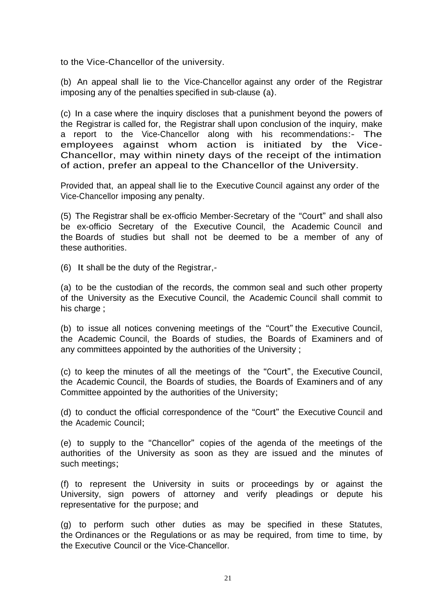to the Vice-Chancellor of the university.

(b) An appeal shall lie to the Vice-Chancellor against any order of the Registrar imposing any of the penalties specified in sub-clause (a).

(c) In a case where the inquiry discloses that a punishment beyond the powers of the Registrar is called for, the Registrar shall upon conclusion of the inquiry, make a report to the Vice-Chancellor along with his recommendations:- The employees against whom action is initiated by the Vice-Chancellor, may within ninety days of the receipt of the intimation of action, prefer an appeal to the Chancellor of the University.

Provided that, an appeal shall lie to the Executive Council against any order of the Vice-Chancellor imposing any penalty.

(5) The Registrar shall be ex-officio Member-Secretary of the "Court" and shall also be ex-officio Secretary of the Executive Council, the Academic Council and the Boards of studies but shall not be deemed to be a member of any of these authorities.

(6) It shall be the duty of the Registrar,-

(a) to be the custodian of the records, the common seal and such other property of the University as the Executive Council, the Academic Council shall commit to his charge ;

(b) to issue all notices convening meetings of the "Court" the Executive Council, the Academic Council, the Boards of studies, the Boards of Examiners and of any committees appointed by the authorities of the University ;

(c) to keep the minutes of all the meetings of the "Court", the Executive Council, the Academic Council, the Boards of studies, the Boards of Examiners and of any Committee appointed by the authorities of the University;

(d) to conduct the official correspondence of the "Court" the Executive Council and the Academic Council;

(e) to supply to the "Chancellor" copies of the agenda of the meetings of the authorities of the University as soon as they are issued and the minutes of such meetings;

(f) to represent the University in suits or proceedings by or against the University, sign powers of attorney and verify pleadings or depute his representative for the purpose; and

(g) to perform such other duties as may be specified in these Statutes, the Ordinances or the Regulations or as may be required, from time to time, by the Executive Council or the Vice-Chancellor.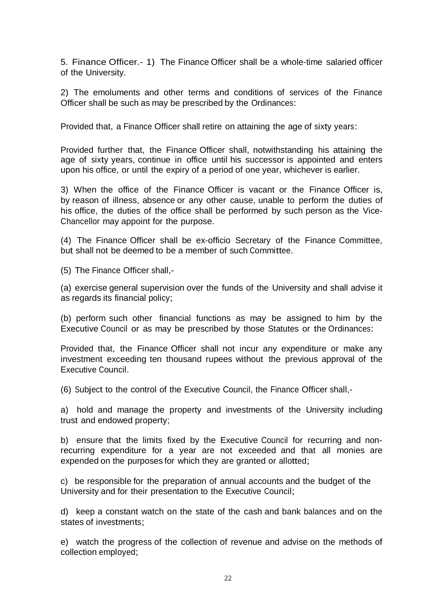5. Finance Officer.- 1) The Finance Officer shall be a whole-time salaried officer of the University.

2) The emoluments and other terms and conditions of services of the Finance Officer shall be such as may be prescribed by the Ordinances:

Provided that, a Finance Officer shall retire on attaining the age of sixty years:

Provided further that, the Finance Officer shall, notwithstanding his attaining the age of sixty years, continue in office until his successor is appointed and enters upon his office, or until the expiry of a period of one year, whichever is earlier.

3) When the office of the Finance Officer is vacant or the Finance Officer is, by reason of illness, absence or any other cause, unable to perform the duties of his office, the duties of the office shall be performed by such person as the Vice-Chancellor may appoint for the purpose.

(4) The Finance Officer shall be ex-officio Secretary of the Finance Committee, but shall not be deemed to be a member of such Committee.

(5) The Finance Officer shall,-

(a) exercise general supervision over the funds of the University and shall advise it as regards its financial policy;

(b) perform such other financial functions as may be assigned to him by the Executive Council or as may be prescribed by those Statutes or the Ordinances:

Provided that, the Finance Officer shall not incur any expenditure or make any investment exceeding ten thousand rupees without the previous approval of the Executive Council.

(6) Subject to the control of the Executive Council, the Finance Officer shall,-

a) hold and manage the property and investments of the University including trust and endowed property;

b) ensure that the limits fixed by the Executive Council for recurring and nonrecurring expenditure for a year are not exceeded and that all monies are expended on the purposes for which they are granted or allotted;

c) be responsible for the preparation of annual accounts and the budget of the University and for their presentation to the Executive Council;

d) keep a constant watch on the state of the cash and bank balances and on the states of investments;

e) watch the progress of the collection of revenue and advise on the methods of collection employed;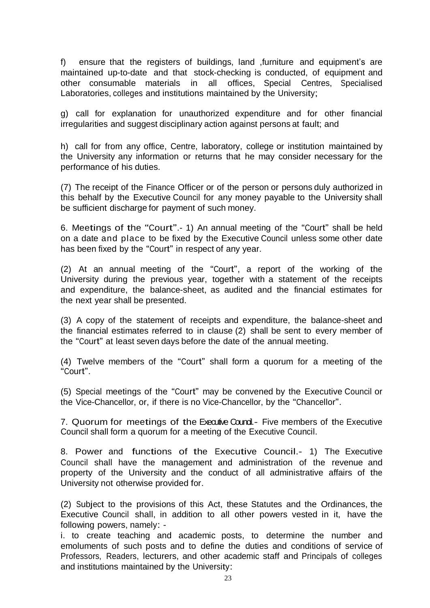f) ensure that the registers of buildings, land ,furniture and equipment's are maintained up-to-date and that stock-checking is conducted, of equipment and other consumable materials in all offices, Special Centres, Specialised Laboratories, colleges and institutions maintained by the University;

g) call for explanation for unauthorized expenditure and for other financial irregularities and suggest disciplinary action against persons at fault; and

h) call for from any office, Centre, laboratory, college or institution maintained by the University any information or returns that he may consider necessary for the performance of his duties.

(7) The receipt of the Finance Officer or of the person or persons duly authorized in this behalf by the Executive Council for any money payable to the University shall be sufficient discharge for payment of such money.

6. Meetings of the "Court".- 1) An annual meeting of the "Court" shall be held on a date and place to be fixed by the Executive Council unless some other date has been fixed by the "Court" in respect of any year.

(2) At an annual meeting of the "Court", a report of the working of the University during the previous year, together with a statement of the receipts and expenditure, the balance-sheet, as audited and the financial estimates for the next year shall be presented.

(3) A copy of the statement of receipts and expenditure, the balance-sheet and the financial estimates referred to in clause (2) shall be sent to every member of the "Court" at least seven days before the date of the annual meeting.

(4) Twelve members of the "Court" shall form a quorum for a meeting of the "Court".

(5) Special meetings of the "Court" may be convened by the Executive Council or the Vice-Chancellor, or, if there is no Vice-Chancellor, by the "Chancellor".

7. Quorum for meetings of the Executive Coundi- Five members of the Executive Council shall form a quorum for a meeting of the Executive Council.

8. Power and functions of the Executive Council.- 1) The Executive Council shall have the management and administration of the revenue and property of the University and the conduct of all administrative affairs of the University not otherwise provided for.

(2) Subject to the provisions of this Act, these Statutes and the Ordinances, the Executive Council shall, in addition to all other powers vested in it, have the following powers, namely: -

i. to create teaching and academic posts, to determine the number and emoluments of such posts and to define the duties and conditions of service of Professors, Readers, lecturers, and other academic staff and Principals of colleges and institutions maintained by the University: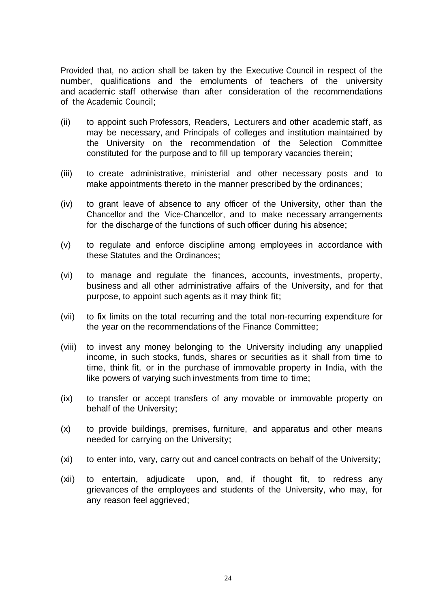Provided that, no action shall be taken by the Executive Council in respect of the number, qualifications and the emoluments of teachers of the university and academic staff otherwise than after consideration of the recommendations of the Academic Council;

- (ii) to appoint such Professors, Readers, Lecturers and other academic staff, as may be necessary, and Principals of colleges and institution maintained by the University on the recommendation of the Selection Committee constituted for the purpose and to fill up temporary vacancies therein;
- (iii) to create administrative, ministerial and other necessary posts and to make appointments thereto in the manner prescribed by the ordinances;
- (iv) to grant leave of absence to any officer of the University, other than the Chancellor and the Vice-Chancellor, and to make necessary arrangements for the discharge of the functions of such officer during his absence;
- (v) to regulate and enforce discipline among employees in accordance with these Statutes and the Ordinances;
- (vi) to manage and regulate the finances, accounts, investments, property, business and all other administrative affairs of the University, and for that purpose, to appoint such agents as it may think fit;
- (vii) to fix limits on the total recurring and the total non-recurring expenditure for the year on the recommendations of the Finance Committee;
- (viii) to invest any money belonging to the University including any unapplied income, in such stocks, funds, shares or securities as it shall from time to time, think fit, or in the purchase of immovable property in India, with the like powers of varying such investments from time to time;
- (ix) to transfer or accept transfers of any movable or immovable property on behalf of the University;
- (x) to provide buildings, premises, furniture, and apparatus and other means needed for carrying on the University;
- (xi) to enter into, vary, carry out and cancel contracts on behalf of the University;
- (xii) to entertain, adjudicate upon, and, if thought fit, to redress any grievances of the employees and students of the University, who may, for any reason feel aggrieved;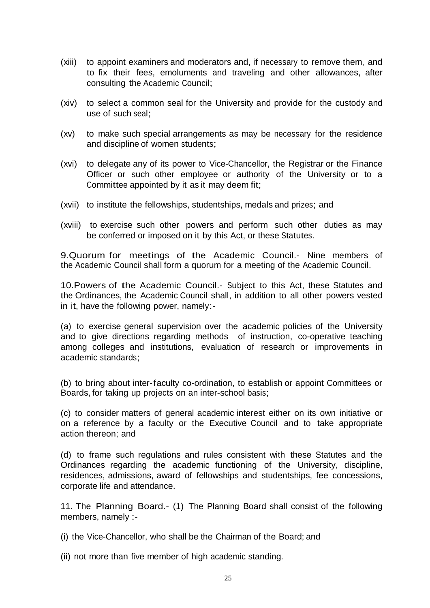- (xiii) to appoint examiners and moderators and, if necessary to remove them, and to fix their fees, emoluments and traveling and other allowances, after consulting the Academic Council;
- (xiv) to select a common seal for the University and provide for the custody and use of such seal;
- (xv) to make such special arrangements as may be necessary for the residence and discipline of women students;
- (xvi) to delegate any of its power to Vice-Chancellor, the Registrar or the Finance Officer or such other employee or authority of the University or to a Committee appointed by it as it may deem fit;
- (xvii) to institute the fellowships, studentships, medals and prizes; and
- (xviii) to exercise such other powers and perform such other duties as may be conferred or imposed on it by this Act, or these Statutes.

9.Quorum for meetings of the Academic Council.- Nine members of the Academic Council shall form a quorum for a meeting of the Academic Council.

10.Powers of the Academic Council.- Subject to this Act, these Statutes and the Ordinances, the Academic Council shall, in addition to all other powers vested in it, have the following power, namely:-

(a) to exercise general supervision over the academic policies of the University and to give directions regarding methods of instruction, co-operative teaching among colleges and institutions, evaluation of research or improvements in academic standards;

(b) to bring about inter-faculty co-ordination, to establish or appoint Committees or Boards, for taking up projects on an inter-school basis;

(c) to consider matters of general academic interest either on its own initiative or on a reference by a faculty or the Executive Council and to take appropriate action thereon; and

(d) to frame such regulations and rules consistent with these Statutes and the Ordinances regarding the academic functioning of the University, discipline, residences, admissions, award of fellowships and studentships, fee concessions, corporate life and attendance.

11. The Planning Board.- (1) The Planning Board shall consist of the following members, namely :-

(i) the Vice-Chancellor, who shall be the Chairman of the Board; and

(ii) not more than five member of high academic standing.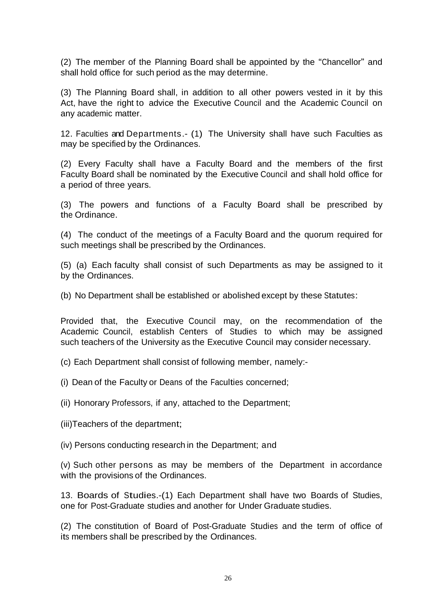(2) The member of the Planning Board shall be appointed by the "Chancellor" and shall hold office for such period as the may determine.

(3) The Planning Board shall, in addition to all other powers vested in it by this Act, have the right to advice the Executive Council and the Academic Council on any academic matter.

12. Faculties and Departments.- (1) The University shall have such Faculties as may be specified by the Ordinances.

(2) Every Faculty shall have a Faculty Board and the members of the first Faculty Board shall be nominated by the Executive Council and shall hold office for a period of three years.

(3) The powers and functions of a Faculty Board shall be prescribed by the Ordinance.

(4) The conduct of the meetings of a Faculty Board and the quorum required for such meetings shall be prescribed by the Ordinances.

(5) (a) Each faculty shall consist of such Departments as may be assigned to it by the Ordinances.

(b) No Department shall be established or abolished except by these Statutes:

Provided that, the Executive Council may, on the recommendation of the Academic Council, establish Centers of Studies to which may be assigned such teachers of the University as the Executive Council may consider necessary.

(c) Each Department shall consist of following member, namely:-

(i) Dean of the Faculty or Deans of the Faculties concerned;

(ii) Honorary Professors, if any, attached to the Department;

(iii)Teachers of the department;

(iv) Persons conducting research in the Department; and

(v) Such other persons as may be members of the Department in accordance with the provisions of the Ordinances.

13. Boards of Studies.-(1) Each Department shall have two Boards of Studies, one for Post-Graduate studies and another for Under Graduate studies.

(2) The constitution of Board of Post-Graduate Studies and the term of office of its members shall be prescribed by the Ordinances.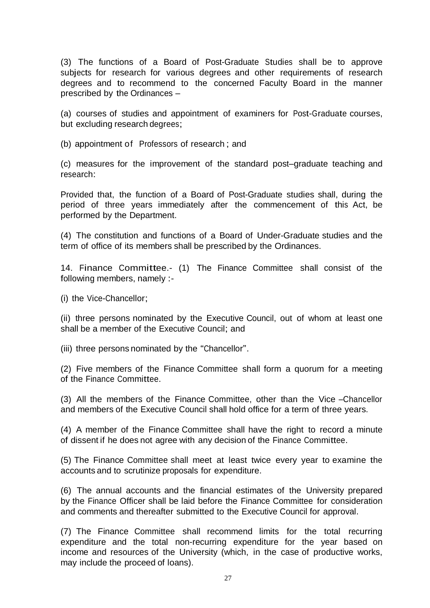(3) The functions of a Board of Post-Graduate Studies shall be to approve subjects for research for various degrees and other requirements of research degrees and to recommend to the concerned Faculty Board in the manner prescribed by the Ordinances –

(a) courses of studies and appointment of examiners for Post-Graduate courses, but excluding research degrees;

(b) appointment of Professors of research ; and

(c) measures for the improvement of the standard post–graduate teaching and research:

Provided that, the function of a Board of Post-Graduate studies shall, during the period of three years immediately after the commencement of this Act, be performed by the Department.

(4) The constitution and functions of a Board of Under-Graduate studies and the term of office of its members shall be prescribed by the Ordinances.

14. Finance Committee.- (1) The Finance Committee shall consist of the following members, namely :-

(i) the Vice-Chancellor;

(ii) three persons nominated by the Executive Council, out of whom at least one shall be a member of the Executive Council; and

(iii) three persons nominated by the "Chancellor".

(2) Five members of the Finance Committee shall form a quorum for a meeting of the Finance Committee.

(3) All the members of the Finance Committee, other than the Vice –Chancellor and members of the Executive Council shall hold office for a term of three years.

(4) A member of the Finance Committee shall have the right to record a minute of dissent if he does not agree with any decision of the Finance Committee.

(5) The Finance Committee shall meet at least twice every year to examine the accounts and to scrutinize proposals for expenditure.

(6) The annual accounts and the financial estimates of the University prepared by the Finance Officer shall be laid before the Finance Committee for consideration and comments and thereafter submitted to the Executive Council for approval.

(7) The Finance Committee shall recommend limits for the total recurring expenditure and the total non-recurring expenditure for the year based on income and resources of the University (which, in the case of productive works, may include the proceed of loans).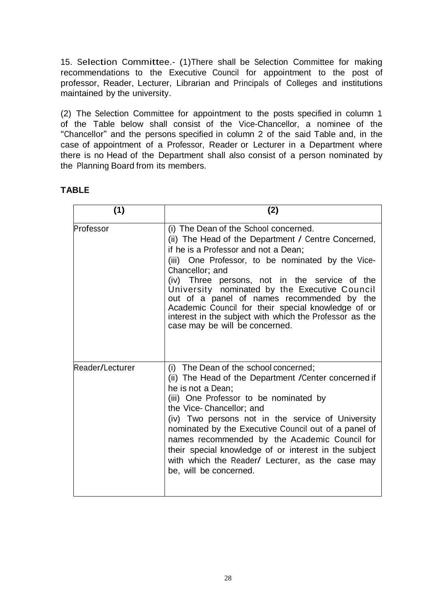15. Selection Committee.- (1)There shall be Selection Committee for making recommendations to the Executive Council for appointment to the post of professor, Reader, Lecturer, Librarian and Principals of Colleges and institutions maintained by the university.

(2) The Selection Committee for appointment to the posts specified in column 1 of the Table below shall consist of the Vice-Chancellor, a nominee of the "Chancellor" and the persons specified in column 2 of the said Table and, in the case of appointment of a Professor, Reader or Lecturer in a Department where there is no Head of the Department shall also consist of a person nominated by the Planning Board from its members.

## **TABLE**

| (1)             | (2)                                                                                                                                                                                                                                                                                                                                                                                                                                                                                                             |
|-----------------|-----------------------------------------------------------------------------------------------------------------------------------------------------------------------------------------------------------------------------------------------------------------------------------------------------------------------------------------------------------------------------------------------------------------------------------------------------------------------------------------------------------------|
| Professor       | (i) The Dean of the School concerned.<br>(ii) The Head of the Department / Centre Concerned,<br>if he is a Professor and not a Dean;<br>(iii) One Professor, to be nominated by the Vice-<br>Chancellor; and<br>(iv) Three persons, not in the service of the<br>University nominated by the Executive Council<br>out of a panel of names recommended by the<br>Academic Council for their special knowledge of or<br>interest in the subject with which the Professor as the<br>case may be will be concerned. |
| Reader/Lecturer | (i) The Dean of the school concerned;<br>(ii) The Head of the Department / Center concerned if<br>he is not a Dean;<br>(iii) One Professor to be nominated by<br>the Vice-Chancellor; and<br>(iv) Two persons not in the service of University<br>nominated by the Executive Council out of a panel of<br>names recommended by the Academic Council for<br>their special knowledge of or interest in the subject<br>with which the Reader/ Lecturer, as the case may<br>be, will be concerned.                  |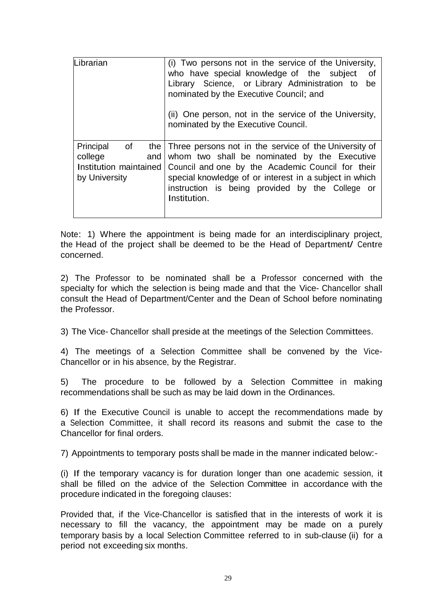| Librarian                                                                             | (i) Two persons not in the service of the University,<br>who have special knowledge of the subject<br>0f<br>Library Science, or Library Administration to<br>be<br>nominated by the Executive Council; and<br>(ii) One person, not in the service of the University,<br>nominated by the Executive Council. |
|---------------------------------------------------------------------------------------|-------------------------------------------------------------------------------------------------------------------------------------------------------------------------------------------------------------------------------------------------------------------------------------------------------------|
| Principal<br>of<br>the l<br>college<br>and<br>Institution maintained<br>by University | Three persons not in the service of the University of<br>whom two shall be nominated by the Executive<br>Council and one by the Academic Council for their<br>special knowledge of or interest in a subject in which<br>instruction is being provided by the College or<br>Institution.                     |

Note: 1) Where the appointment is being made for an interdisciplinary project, the Head of the project shall be deemed to be the Head of Department/ Centre concerned.

2) The Professor to be nominated shall be a Professor concerned with the specialty for which the selection is being made and that the Vice- Chancellor shall consult the Head of Department/Center and the Dean of School before nominating the Professor.

3) The Vice- Chancellor shall preside at the meetings of the Selection Committees.

4) The meetings of a Selection Committee shall be convened by the Vice-Chancellor or in his absence, by the Registrar.

5) The procedure to be followed by a Selection Committee in making recommendations shall be such as may be laid down in the Ordinances.

6) If the Executive Council is unable to accept the recommendations made by a Selection Committee, it shall record its reasons and submit the case to the Chancellor for final orders.

7) Appointments to temporary posts shall be made in the manner indicated below:-

(i) If the temporary vacancy is for duration longer than one academic session, it shall be filled on the advice of the Selection Committee in accordance with the procedure indicated in the foregoing clauses:

Provided that, if the Vice-Chancellor is satisfied that in the interests of work it is necessary to fill the vacancy, the appointment may be made on a purely temporary basis by a local Selection Committee referred to in sub-clause (ii) for a period not exceeding six months.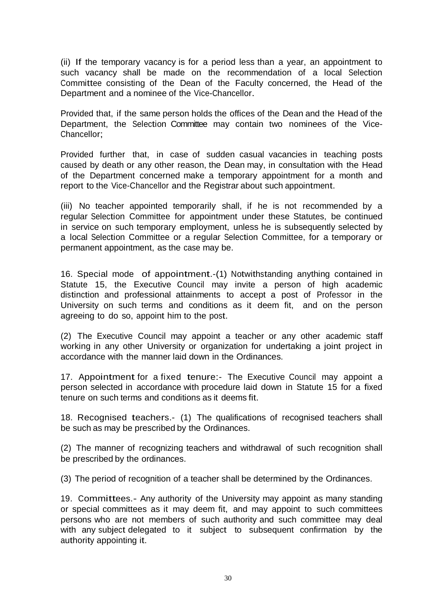(ii) If the temporary vacancy is for a period less than a year, an appointment to such vacancy shall be made on the recommendation of a local Selection Committee consisting of the Dean of the Faculty concerned, the Head of the Department and a nominee of the Vice-Chancellor.

Provided that, if the same person holds the offices of the Dean and the Head of the Department, the Selection Committee may contain two nominees of the Vice-Chancellor;

Provided further that, in case of sudden casual vacancies in teaching posts caused by death or any other reason, the Dean may, in consultation with the Head of the Department concerned make a temporary appointment for a month and report to the Vice-Chancellor and the Registrar about such appointment.

(iii) No teacher appointed temporarily shall, if he is not recommended by a regular Selection Committee for appointment under these Statutes, be continued in service on such temporary employment, unless he is subsequently selected by a local Selection Committee or a regular Selection Committee, for a temporary or permanent appointment, as the case may be.

16. Special mode of appointment.-(1) Notwithstanding anything contained in Statute 15, the Executive Council may invite a person of high academic distinction and professional attainments to accept a post of Professor in the University on such terms and conditions as it deem fit, and on the person agreeing to do so, appoint him to the post.

(2) The Executive Council may appoint a teacher or any other academic staff working in any other University or organization for undertaking a joint project in accordance with the manner laid down in the Ordinances.

17. Appointment for a fixed tenure:- The Executive Council may appoint a person selected in accordance with procedure laid down in Statute 15 for a fixed tenure on such terms and conditions as it deems fit.

18. Recognised teachers.- (1) The qualifications of recognised teachers shall be such as may be prescribed by the Ordinances.

(2) The manner of recognizing teachers and withdrawal of such recognition shall be prescribed by the ordinances.

(3) The period of recognition of a teacher shall be determined by the Ordinances.

19. Committees.- Any authority of the University may appoint as many standing or special committees as it may deem fit, and may appoint to such committees persons who are not members of such authority and such committee may deal with any subject delegated to it subject to subsequent confirmation by the authority appointing it.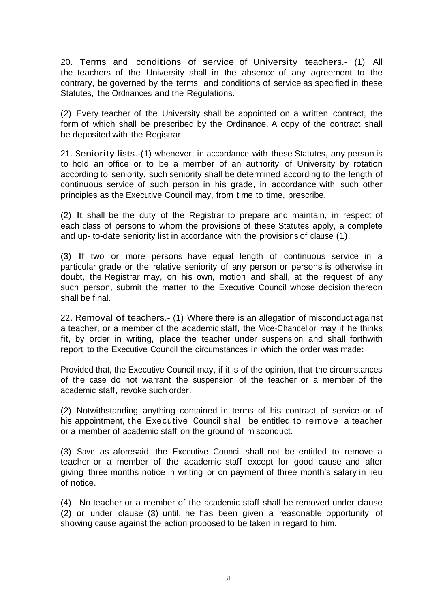20. Terms and conditions of service of University teachers.- (1) All the teachers of the University shall in the absence of any agreement to the contrary, be governed by the terms, and conditions of service as specified in these Statutes, the Ordnances and the Regulations.

(2) Every teacher of the University shall be appointed on a written contract, the form of which shall be prescribed by the Ordinance. A copy of the contract shall be deposited with the Registrar.

21. Seniority lists.-(1) whenever, in accordance with these Statutes, any person is to hold an office or to be a member of an authority of University by rotation according to seniority, such seniority shall be determined according to the length of continuous service of such person in his grade, in accordance with such other principles as the Executive Council may, from time to time, prescribe.

(2) It shall be the duty of the Registrar to prepare and maintain, in respect of each class of persons to whom the provisions of these Statutes apply, a complete and up- to-date seniority list in accordance with the provisions of clause (1).

(3) If two or more persons have equal length of continuous service in a particular grade or the relative seniority of any person or persons is otherwise in doubt, the Registrar may, on his own, motion and shall, at the request of any such person, submit the matter to the Executive Council whose decision thereon shall be final.

22. Removal of teachers.- (1) Where there is an allegation of misconduct against a teacher, or a member of the academic staff, the Vice-Chancellor may if he thinks fit, by order in writing, place the teacher under suspension and shall forthwith report to the Executive Council the circumstances in which the order was made:

Provided that, the Executive Council may, if it is of the opinion, that the circumstances of the case do not warrant the suspension of the teacher or a member of the academic staff, revoke such order.

(2) Notwithstanding anything contained in terms of his contract of service or of his appointment, the Executive Council shall be entitled to remove a teacher or a member of academic staff on the ground of misconduct.

(3) Save as aforesaid, the Executive Council shall not be entitled to remove a teacher or a member of the academic staff except for good cause and after giving three months notice in writing or on payment of three month's salary in lieu of notice.

(4) No teacher or a member of the academic staff shall be removed under clause (2) or under clause (3) until, he has been given a reasonable opportunity of showing cause against the action proposed to be taken in regard to him.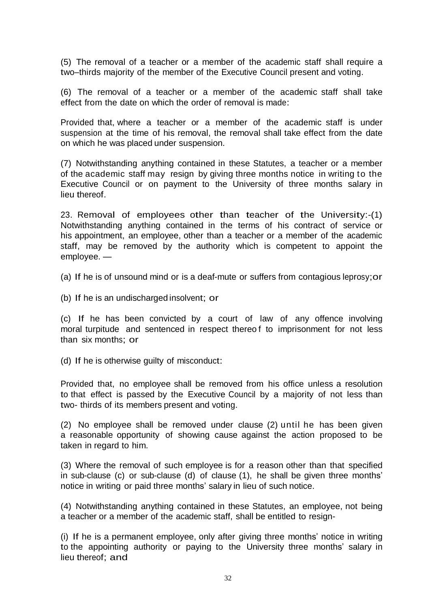(5) The removal of a teacher or a member of the academic staff shall require a two–thirds majority of the member of the Executive Council present and voting.

(6) The removal of a teacher or a member of the academic staff shall take effect from the date on which the order of removal is made:

Provided that, where a teacher or a member of the academic staff is under suspension at the time of his removal, the removal shall take effect from the date on which he was placed under suspension.

(7) Notwithstanding anything contained in these Statutes, a teacher or a member of the academic staff may resign by giving three months notice in writing to the Executive Council or on payment to the University of three months salary in lieu thereof.

23. Removal of employees other than teacher of the University:-(1) Notwithstanding anything contained in the terms of his contract of service or his appointment, an employee, other than a teacher or a member of the academic staff, may be removed by the authority which is competent to appoint the employee. —

(a) If he is of unsound mind or is a deaf-mute or suffers from contagious leprosy;or

(b) If he is an undischarged insolvent; or

(c) If he has been convicted by a court of law of any offence involving moral turpitude and sentenced in respect thereo f to imprisonment for not less than six months; or

(d) If he is otherwise guilty of misconduct:

Provided that, no employee shall be removed from his office unless a resolution to that effect is passed by the Executive Council by a majority of not less than two- thirds of its members present and voting.

(2) No employee shall be removed under clause (2) until he has been given a reasonable opportunity of showing cause against the action proposed to be taken in regard to him.

(3) Where the removal of such employee is for a reason other than that specified in sub-clause (c) or sub-clause (d) of clause (1), he shall be given three months' notice in writing or paid three months' salary in lieu of such notice.

(4) Notwithstanding anything contained in these Statutes, an employee, not being a teacher or a member of the academic staff, shall be entitled to resign-

(i) If he is a permanent employee, only after giving three months' notice in writing to the appointing authority or paying to the University three months' salary in lieu thereof; and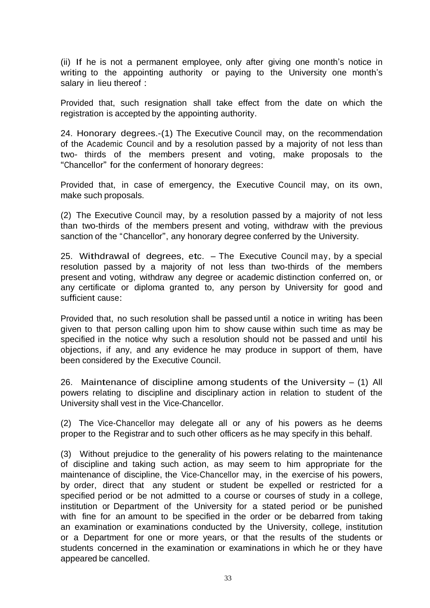(ii) If he is not a permanent employee, only after giving one month's notice in writing to the appointing authority or paying to the University one month's salary in lieu thereof :

Provided that, such resignation shall take effect from the date on which the registration is accepted by the appointing authority.

24. Honorary degrees.-(1) The Executive Council may, on the recommendation of the Academic Council and by a resolution passed by a majority of not less than two- thirds of the members present and voting, make proposals to the "Chancellor" for the conferment of honorary degrees:

Provided that, in case of emergency, the Executive Council may, on its own, make such proposals.

(2) The Executive Council may, by a resolution passed by a majority of not less than two-thirds of the members present and voting, withdraw with the previous sanction of the "Chancellor", any honorary degree conferred by the University.

25. Withdrawal of degrees, etc. – The Executive Council may, by <sup>a</sup> special resolution passed by a majority of not less than two-thirds of the members present and voting, withdraw any degree or academic distinction conferred on, or any certificate or diploma granted to, any person by University for good and sufficient cause:

Provided that, no such resolution shall be passed until a notice in writing has been given to that person calling upon him to show cause within such time as may be specified in the notice why such a resolution should not be passed and until his objections, if any, and any evidence he may produce in support of them, have been considered by the Executive Council.

26. Maintenance of discipline among students of the University  $-$  (1) All powers relating to discipline and disciplinary action in relation to student of the University shall vest in the Vice-Chancellor.

(2) The Vice-Chancellor may delegate all or any of his powers as he deems proper to the Registrar and to such other officers as he may specify in this behalf.

(3) Without prejudice to the generality of his powers relating to the maintenance of discipline and taking such action, as may seem to him appropriate for the maintenance of discipline, the Vice-Chancellor may, in the exercise of his powers, by order, direct that any student or student be expelled or restricted for a specified period or be not admitted to a course or courses of study in a college, institution or Department of the University for a stated period or be punished with fine for an amount to be specified in the order or be debarred from taking an examination or examinations conducted by the University, college, institution or a Department for one or more years, or that the results of the students or students concerned in the examination or examinations in which he or they have appeared be cancelled.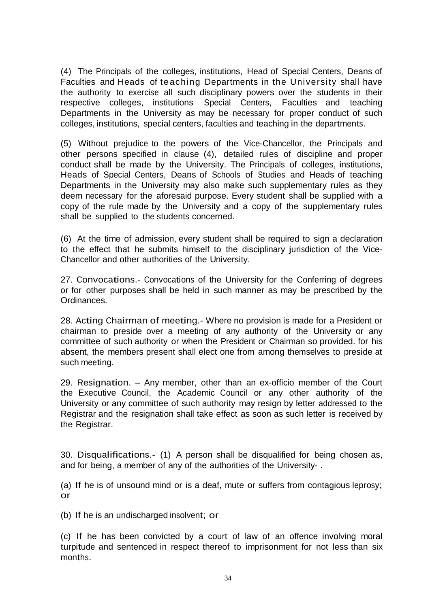(4) The Principals of the colleges, institutions, Head of Special Centers, Deans of Faculties and Heads of teaching Departments in the University shall have the authority to exercise all such disciplinary powers over the students in their respective colleges, institutions Special Centers, Faculties and teaching Departments in the University as may be necessary for proper conduct of such colleges, institutions, special centers, faculties and teaching in the departments.

(5) Without prejudice to the powers of the Vice-Chancellor, the Principals and other persons specified in clause (4), detailed rules of discipline and proper conduct shall be made by the University. The Principals of colleges, institutions, Heads of Special Centers, Deans of Schools of Studies and Heads of teaching Departments in the University may also make such supplementary rules as they deem necessary for the aforesaid purpose. Every student shall be supplied with a copy of the rule made by the University and a copy of the supplementary rules shall be supplied to the students concerned.

(6) At the time of admission, every student shall be required to sign a declaration to the effect that he submits himself to the disciplinary jurisdiction of the Vice-Chancellor and other authorities of the University.

27. Convocations.- Convocations of the University for the Conferring of degrees or for other purposes shall be held in such manner as may be prescribed by the Ordinances.

28. Acting Chairman of meeting.- Where no provision is made for <sup>a</sup> President or chairman to preside over a meeting of any authority of the University or any committee of such authority or when the President or Chairman so provided. for his absent, the members present shall elect one from among themselves to preside at such meeting.

29. Resignation. – Any member, other than an ex-officio member of the Court the Executive Council, the Academic Council or any other authority of the University or any committee of such authority may resign by letter addressed to the Registrar and the resignation shall take effect as soon as such letter is received by the Registrar.

30. Disqualifications.- (1) <sup>A</sup> person shall be disqualified for being chosen as, and for being, a member of any of the authorities of the University- .

(a) If he is of unsound mind or is a deaf, mute or suffers from contagious leprosy; or

(b) If he is an undischarged insolvent; or

(c) If he has been convicted by a court of law of an offence involving moral turpitude and sentenced in respect thereof to imprisonment for not less than six months.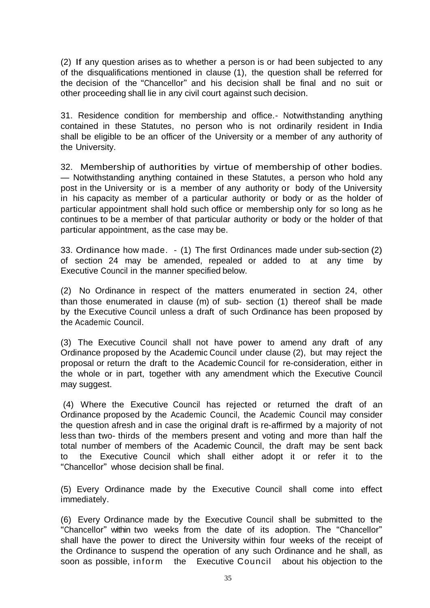(2) If any question arises as to whether a person is or had been subjected to any of the disqualifications mentioned in clause (1), the question shall be referred for the decision of the "Chancellor" and his decision shall be final and no suit or other proceeding shall lie in any civil court against such decision.

31. Residence condition for membership and office.- Notwithstanding anything contained in these Statutes, no person who is not ordinarily resident in India shall be eligible to be an officer of the University or a member of any authority of the University.

32. Membership of authorities by virtue of membership of other bodies. — Notwithstanding anything contained in these Statutes, a person who hold any post in the University or is a member of any authority or body of the University in his capacity as member of a particular authority or body or as the holder of particular appointment shall hold such office or membership only for so long as he continues to be a member of that particular authority or body or the holder of that particular appointment, as the case may be.

33. Ordinance how made. - (1) The first Ordinances made under sub-section (2) of section 24 may be amended, repealed or added to at any time by Executive Council in the manner specified below.

(2) No Ordinance in respect of the matters enumerated in section 24, other than those enumerated in clause (m) of sub- section (1) thereof shall be made by the Executive Council unless a draft of such Ordinance has been proposed by the Academic Council.

(3) The Executive Council shall not have power to amend any draft of any Ordinance proposed by the Academic Council under clause (2), but may reject the proposal or return the draft to the Academic Council for re-consideration, either in the whole or in part, together with any amendment which the Executive Council may suggest.

(4) Where the Executive Council has rejected or returned the draft of an Ordinance proposed by the Academic Council, the Academic Council may consider the question afresh and in case the original draft is re-affirmed by a majority of not less than two- thirds of the members present and voting and more than half the total number of members of the Academic Council, the draft may be sent back to the Executive Council which shall either adopt it or refer it to the "Chancellor" whose decision shall be final.

(5) Every Ordinance made by the Executive Council shall come into effect immediately.

(6) Every Ordinance made by the Executive Council shall be submitted to the "Chancellor" within two weeks from the date of its adoption. The "Chancellor" shall have the power to direct the University within four weeks of the receipt of the Ordinance to suspend the operation of any such Ordinance and he shall, as soon as possible, inform the Executive Council about his objection to the